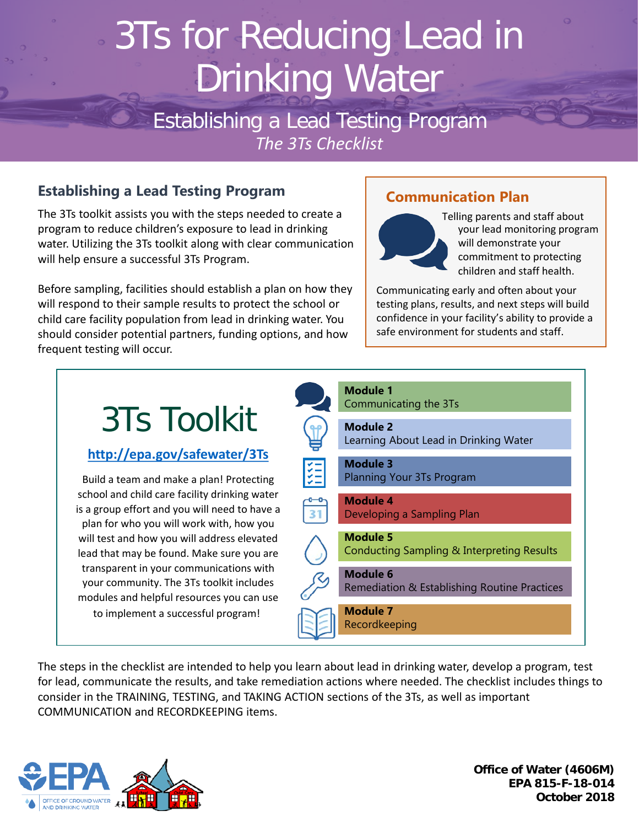# 3Ts for Reducing Lead in Drinking Water

Establishing a Lead Testing Program *The 3Ts Checklist*

## **Establishing a Lead Testing Program**

The 3Ts toolkit assists you with the steps needed to create a program to reduce children's exposure to lead in drinking water. Utilizing the 3Ts toolkit along with clear communication will help ensure a successful 3Ts Program.

Before sampling, facilities should establish a plan on how they will respond to their sample results to protect the school or child care facility population from lead in drinking water. You should consider potential partners, funding options, and how frequent testing will occur.

## **Communication Plan**



Telling parents and staff about your lead monitoring program will demonstrate your commitment to protecting children and staff health.

Communicating early and often about your testing plans, results, and next steps will build confidence in your facility's ability to provide a safe environment for students and staff.



The steps in the checklist are intended to help you learn about lead in drinking water, develop a program, test for lead, communicate the results, and take remediation actions where needed. The checklist includes things to consider in the TRAINING, TESTING, and TAKING ACTION sections of the 3Ts, as well as important COMMUNICATION and RECORDKEEPING items.



**Office of Water (4606M) EPA 815-F-18-014 October 2018**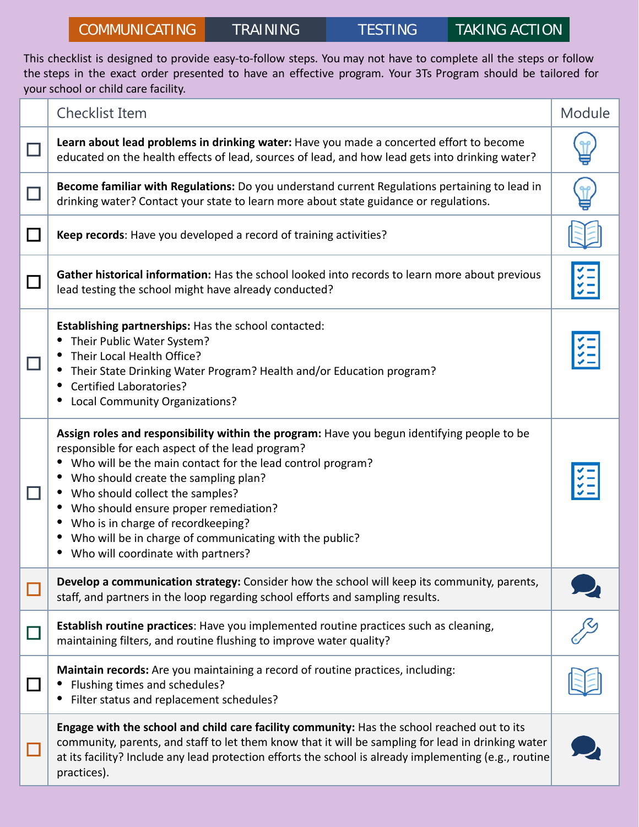This checklist is designed to provide easy-to-follow steps. You may not have to complete all the steps or follow the steps in the exact order presented to have an effective program. Your 3Ts Program should be tailored for your school or child care facility.

| <b>Checklist Item</b>                                                                                                                                                                                                                                                                                                                                                                                                                                                    | Module |
|--------------------------------------------------------------------------------------------------------------------------------------------------------------------------------------------------------------------------------------------------------------------------------------------------------------------------------------------------------------------------------------------------------------------------------------------------------------------------|--------|
| Learn about lead problems in drinking water: Have you made a concerted effort to become<br>educated on the health effects of lead, sources of lead, and how lead gets into drinking water?                                                                                                                                                                                                                                                                               |        |
| Become familiar with Regulations: Do you understand current Regulations pertaining to lead in<br>drinking water? Contact your state to learn more about state guidance or regulations.                                                                                                                                                                                                                                                                                   |        |
| Keep records: Have you developed a record of training activities?                                                                                                                                                                                                                                                                                                                                                                                                        |        |
| Gather historical information: Has the school looked into records to learn more about previous<br>lead testing the school might have already conducted?                                                                                                                                                                                                                                                                                                                  |        |
| Establishing partnerships: Has the school contacted:<br>Their Public Water System?<br>Their Local Health Office?<br>Their State Drinking Water Program? Health and/or Education program?<br><b>Certified Laboratories?</b><br><b>Local Community Organizations?</b>                                                                                                                                                                                                      |        |
| Assign roles and responsibility within the program: Have you begun identifying people to be<br>responsible for each aspect of the lead program?<br>Who will be the main contact for the lead control program?<br>Who should create the sampling plan?<br>Who should collect the samples?<br>Who should ensure proper remediation?<br>Who is in charge of recordkeeping?<br>Who will be in charge of communicating with the public?<br>Who will coordinate with partners? |        |
| Develop a communication strategy: Consider how the school will keep its community, parents,<br>staff, and partners in the loop regarding school efforts and sampling results.                                                                                                                                                                                                                                                                                            |        |
| Establish routine practices: Have you implemented routine practices such as cleaning,<br>maintaining filters, and routine flushing to improve water quality?                                                                                                                                                                                                                                                                                                             |        |
| Maintain records: Are you maintaining a record of routine practices, including:<br>Flushing times and schedules?<br>Filter status and replacement schedules?                                                                                                                                                                                                                                                                                                             |        |
| Engage with the school and child care facility community: Has the school reached out to its<br>community, parents, and staff to let them know that it will be sampling for lead in drinking water<br>at its facility? Include any lead protection efforts the school is already implementing (e.g., routine<br>practices).                                                                                                                                               |        |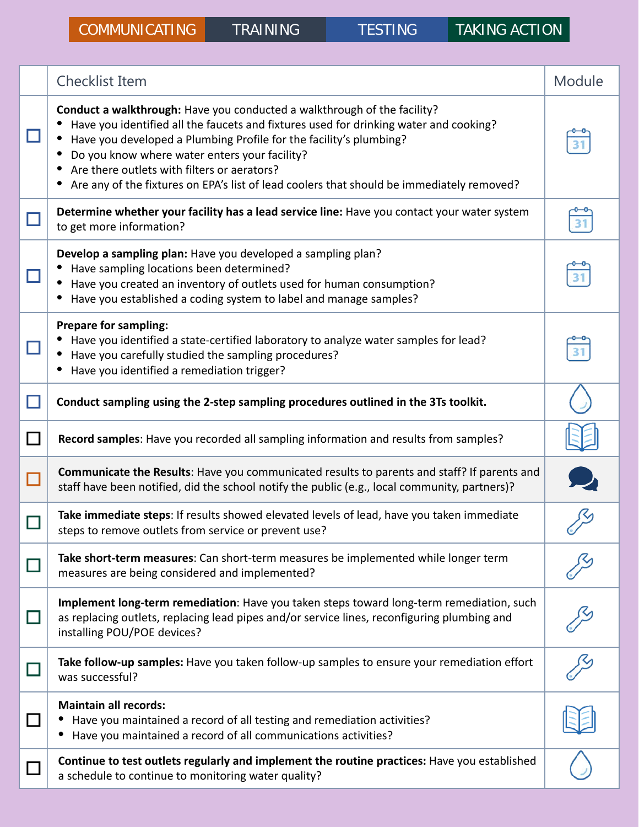|        | <b>Checklist Item</b>                                                                                                                                                                                                                                                                                                                                                                                                                | Module |
|--------|--------------------------------------------------------------------------------------------------------------------------------------------------------------------------------------------------------------------------------------------------------------------------------------------------------------------------------------------------------------------------------------------------------------------------------------|--------|
|        | Conduct a walkthrough: Have you conducted a walkthrough of the facility?<br>Have you identified all the faucets and fixtures used for drinking water and cooking?<br>Have you developed a Plumbing Profile for the facility's plumbing?<br>Do you know where water enters your facility?<br>Are there outlets with filters or aerators?<br>Are any of the fixtures on EPA's list of lead coolers that should be immediately removed? |        |
|        | Determine whether your facility has a lead service line: Have you contact your water system<br>to get more information?                                                                                                                                                                                                                                                                                                              |        |
|        | Develop a sampling plan: Have you developed a sampling plan?<br>Have sampling locations been determined?<br>Have you created an inventory of outlets used for human consumption?<br>Have you established a coding system to label and manage samples?                                                                                                                                                                                |        |
|        | <b>Prepare for sampling:</b><br>Have you identified a state-certified laboratory to analyze water samples for lead?<br>Have you carefully studied the sampling procedures?<br>Have you identified a remediation trigger?                                                                                                                                                                                                             |        |
| $\Box$ | Conduct sampling using the 2-step sampling procedures outlined in the 3Ts toolkit.                                                                                                                                                                                                                                                                                                                                                   |        |
| $\Box$ | Record samples: Have you recorded all sampling information and results from samples?                                                                                                                                                                                                                                                                                                                                                 |        |
| $\Box$ | Communicate the Results: Have you communicated results to parents and staff? If parents and<br>staff have been notified, did the school notify the public (e.g., local community, partners)?                                                                                                                                                                                                                                         |        |
|        | Take immediate steps: If results showed elevated levels of lead, have you taken immediate<br>steps to remove outlets from service or prevent use?                                                                                                                                                                                                                                                                                    |        |
|        | Take short-term measures: Can short-term measures be implemented while longer term<br>measures are being considered and implemented?                                                                                                                                                                                                                                                                                                 |        |
| $\Box$ | Implement long-term remediation: Have you taken steps toward long-term remediation, such<br>as replacing outlets, replacing lead pipes and/or service lines, reconfiguring plumbing and<br>installing POU/POE devices?                                                                                                                                                                                                               |        |
|        | Take follow-up samples: Have you taken follow-up samples to ensure your remediation effort<br>was successful?                                                                                                                                                                                                                                                                                                                        |        |
| $\Box$ | <b>Maintain all records:</b><br>Have you maintained a record of all testing and remediation activities?<br>Have you maintained a record of all communications activities?                                                                                                                                                                                                                                                            |        |
|        | Continue to test outlets regularly and implement the routine practices: Have you established<br>a schedule to continue to monitoring water quality?                                                                                                                                                                                                                                                                                  |        |